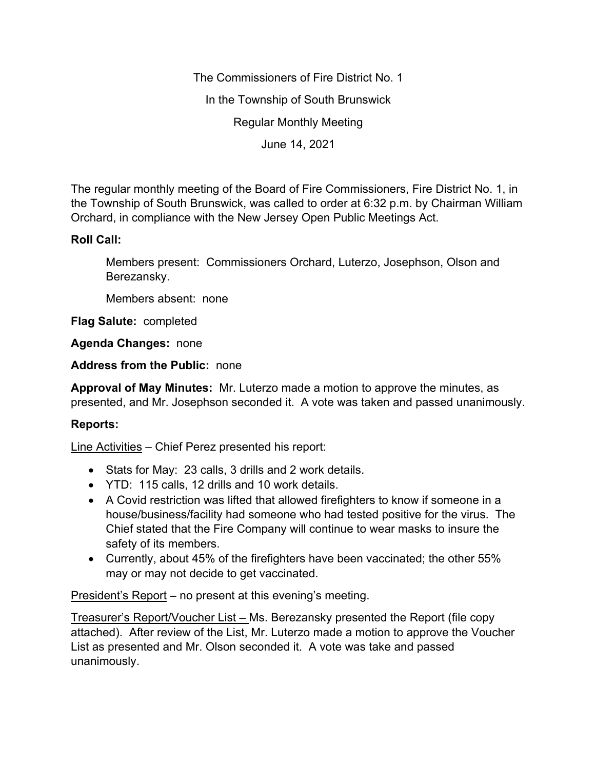The Commissioners of Fire District No. 1 In the Township of South Brunswick Regular Monthly Meeting June 14, 2021

The regular monthly meeting of the Board of Fire Commissioners, Fire District No. 1, in the Township of South Brunswick, was called to order at 6:32 p.m. by Chairman William Orchard, in compliance with the New Jersey Open Public Meetings Act.

## **Roll Call:**

Members present: Commissioners Orchard, Luterzo, Josephson, Olson and Berezansky.

Members absent: none

**Flag Salute:** completed

**Agenda Changes:** none

**Address from the Public:** none

**Approval of May Minutes:** Mr. Luterzo made a motion to approve the minutes, as presented, and Mr. Josephson seconded it. A vote was taken and passed unanimously.

## **Reports:**

Line Activities – Chief Perez presented his report:

- Stats for May: 23 calls, 3 drills and 2 work details.
- YTD: 115 calls, 12 drills and 10 work details.
- A Covid restriction was lifted that allowed firefighters to know if someone in a house/business/facility had someone who had tested positive for the virus. The Chief stated that the Fire Company will continue to wear masks to insure the safety of its members.
- Currently, about 45% of the firefighters have been vaccinated; the other 55% may or may not decide to get vaccinated.

President's Report – no present at this evening's meeting.

Treasurer's Report/Voucher List – Ms. Berezansky presented the Report (file copy attached). After review of the List, Mr. Luterzo made a motion to approve the Voucher List as presented and Mr. Olson seconded it. A vote was take and passed unanimously.